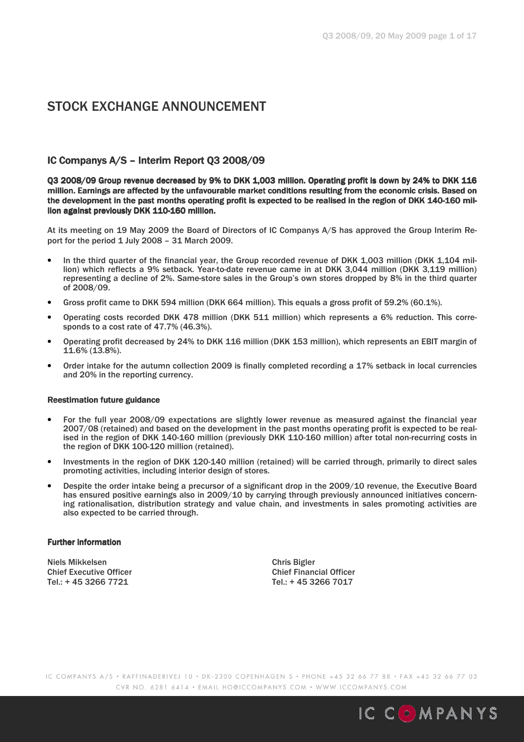# STOCK EXCHANGE ANNOUNCEMENT

# IC Companys A/S – Interim Report Q3 2008/09

Q3 2008/09 Group revenue decreased by 9% to DKK 1,003 million. Operating profit is down by 24% to DKK 116 million. Earnings are affected by the unfavourable market conditions resulting from the economic crisis. Based on the development in the past months operating profit is expected to be realised in the region of DKK 140-160 million against previously DKK 110-160 million.

At its meeting on 19 May 2009 the Board of Directors of IC Companys A/S has approved the Group Interim Report for the period 1 July 2008 – 31 March 2009.

- In the third quarter of the financial year, the Group recorded revenue of DKK 1,003 million (DKK 1,104 million) which reflects a 9% setback. Year-to-date revenue came in at DKK 3,044 million (DKK 3,119 million) representing a decline of 2%. Same-store sales in the Group's own stores dropped by 8% in the third quarter of 2008/09.
- Gross profit came to DKK 594 million (DKK 664 million). This equals a gross profit of 59.2% (60.1%).
- Operating costs recorded DKK 478 million (DKK 511 million) which represents a 6% reduction. This corresponds to a cost rate of 47.7% (46.3%).
- Operating profit decreased by 24% to DKK 116 million (DKK 153 million), which represents an EBIT margin of 11.6% (13.8%).
- Order intake for the autumn collection 2009 is finally completed recording a 17% setback in local currencies and 20% in the reporting currency.

#### Reestimation future guidance

- For the full year 2008/09 expectations are slightly lower revenue as measured against the financial year 2007/08 (retained) and based on the development in the past months operating profit is expected to be realised in the region of DKK 140-160 million (previously DKK 110-160 million) after total non-recurring costs in the region of DKK 100-120 million (retained).
- Investments in the region of DKK 120-140 million (retained) will be carried through, primarily to direct sales promoting activities, including interior design of stores.
- Despite the order intake being a precursor of a significant drop in the 2009/10 revenue, the Executive Board has ensured positive earnings also in 2009/10 by carrying through previously announced initiatives concerning rationalisation, distribution strategy and value chain, and investments in sales promoting activities are also expected to be carried through.

#### **Further information**

Niels Mikkelsen Chris Bigler Chief Executive Officer Chief Financial Officer Tel.: + 45 3266 7721 Tel.: + 45 3266 7017

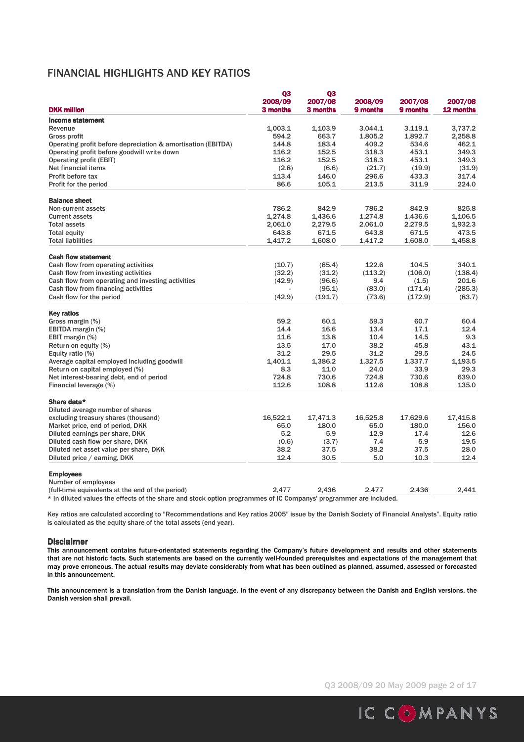# FINANCIAL HIGHLIGHTS AND KEY RATIOS

| <b>DKK million</b><br>3 months<br>3 months<br>12 months<br>9 months<br>9 months<br><b>Income statement</b><br>3,737.2<br>Revenue<br>1,003.1<br>1.103.9<br>3.044.1<br>3,119.1<br>594.2<br>663.7<br>1,805.2<br>1,892.7<br>2,258.8<br><b>Gross profit</b><br>144.8<br>183.4<br>534.6<br>462.1<br>Operating profit before depreciation & amortisation (EBITDA)<br>409.2<br>Operating profit before goodwill write down<br>116.2<br>152.5<br>318.3<br>453.1<br>349.3<br>116.2<br>152.5<br>318.3<br>453.1<br>349.3<br><b>Operating profit (EBIT)</b><br>Net financial items<br>(2.8)<br>(21.7)<br>(19.9)<br>(6.6)<br>(31.9)<br>Profit before tax<br>113.4<br>146.0<br>296.6<br>433.3<br>317.4<br>86.6<br>Profit for the period<br>105.1<br>213.5<br>224.0<br>311.9<br><b>Balance sheet</b><br>786.2<br>786.2<br>825.8<br>842.9<br>842.9<br>Non-current assets<br>1,274.8<br>1,274.8<br>1,106.5<br>1,436.6<br>1,436.6<br><b>Current assets</b><br>2,061.0<br>2,279.5<br>2,061.0<br>2,279.5<br>1,932.3<br><b>Total assets</b><br>643.8<br>473.5<br><b>Total equity</b><br>671.5<br>643.8<br>671.5<br><b>Total liabilities</b><br>1,417.2<br>1,608.0<br>1,417.2<br>1,608.0<br>1.458.8<br><b>Cash flow statement</b><br>Cash flow from operating activities<br>122.6<br>104.5<br>340.1<br>(10.7)<br>(65.4)<br>Cash flow from investing activities<br>(32.2)<br>(31.2)<br>(113.2)<br>(106.0)<br>(138.4)<br>201.6<br>Cash flow from operating and investing activities<br>(96.6)<br>9.4<br>(1.5)<br>(42.9)<br>Cash flow from financing activities<br>(285.3)<br>(95.1)<br>(83.0)<br>(171.4)<br>Cash flow for the period<br>(42.9)<br>(83.7)<br>(191.7)<br>(73.6)<br>(172.9)<br><b>Key ratios</b><br>Gross margin (%)<br>59.2<br>60.1<br>59.3<br>60.7<br>60.4<br>14.4<br>16.6<br>13.4<br>17.1<br>12.4<br>EBITDA margin (%)<br>9.3<br>EBIT margin (%)<br>11.6<br>13.8<br>10.4<br>14.5<br>Return on equity (%)<br>13.5<br>17.0<br>38.2<br>45.8<br>43.1<br>31.2<br>31.2<br>24.5<br>Equity ratio (%)<br>29.5<br>29.5<br>1,401.1<br>1,386.2<br>1,327.5<br>1,337.7<br>1,193.5<br>Average capital employed including goodwill<br>8.3<br>33.9<br>29.3<br>Return on capital employed (%)<br>11.0<br>24.0<br>724.8<br>730.6<br>730.6<br>639.0<br>Net interest-bearing debt, end of period<br>724.8<br>112.6<br>108.8<br>112.6<br>108.8<br>135.0<br>Financial leverage (%)<br>Share data*<br>Diluted average number of shares<br>excluding treasury shares (thousand)<br>16,522.1<br>17,471.3<br>16,525.8<br>17,629.6<br>17,415.8<br>180.0<br>Market price, end of period, DKK<br>65.0<br>65.0<br>180.0<br>156.0<br>5.2<br>5.9<br>12.9<br>17.4<br>12.6<br>Diluted earnings per share, DKK<br>19.5<br>Diluted cash flow per share, DKK<br>(3.7)<br>7.4<br>5.9<br>(0.6)<br>38.2<br>Diluted net asset value per share, DKK<br>37.5<br>38.2<br>37.5<br>28.0<br>12.4<br>Diluted price / earning, DKK<br>12.4<br>30.5<br>5.0<br>10.3<br><b>Employees</b><br>Number of employees<br>(full-time equivalents at the end of the period)<br>2.477<br>2,436<br>2.477<br>2.436<br>2,441<br>* In diluted values the effects of the share and steels entian programmes of IC Companys' programmes are included | Q3<br>2008/09 | Q3<br>2007/08 | 2008/09 | 2007/08 | 2007/08 |
|-------------------------------------------------------------------------------------------------------------------------------------------------------------------------------------------------------------------------------------------------------------------------------------------------------------------------------------------------------------------------------------------------------------------------------------------------------------------------------------------------------------------------------------------------------------------------------------------------------------------------------------------------------------------------------------------------------------------------------------------------------------------------------------------------------------------------------------------------------------------------------------------------------------------------------------------------------------------------------------------------------------------------------------------------------------------------------------------------------------------------------------------------------------------------------------------------------------------------------------------------------------------------------------------------------------------------------------------------------------------------------------------------------------------------------------------------------------------------------------------------------------------------------------------------------------------------------------------------------------------------------------------------------------------------------------------------------------------------------------------------------------------------------------------------------------------------------------------------------------------------------------------------------------------------------------------------------------------------------------------------------------------------------------------------------------------------------------------------------------------------------------------------------------------------------------------------------------------------------------------------------------------------------------------------------------------------------------------------------------------------------------------------------------------------------------------------------------------------------------------------------------------------------------------------------------------------------------------------------------------------------------------------------------------------------------------------------------------------------------------------------------------------------------------------------------------------------------------------------------------------------------------------------------------------------------------------------------------------------------------------------------------------------------------------------------------------------------------------------------------------------------------------------------------------|---------------|---------------|---------|---------|---------|
|                                                                                                                                                                                                                                                                                                                                                                                                                                                                                                                                                                                                                                                                                                                                                                                                                                                                                                                                                                                                                                                                                                                                                                                                                                                                                                                                                                                                                                                                                                                                                                                                                                                                                                                                                                                                                                                                                                                                                                                                                                                                                                                                                                                                                                                                                                                                                                                                                                                                                                                                                                                                                                                                                                                                                                                                                                                                                                                                                                                                                                                                                                                                                                         |               |               |         |         |         |
|                                                                                                                                                                                                                                                                                                                                                                                                                                                                                                                                                                                                                                                                                                                                                                                                                                                                                                                                                                                                                                                                                                                                                                                                                                                                                                                                                                                                                                                                                                                                                                                                                                                                                                                                                                                                                                                                                                                                                                                                                                                                                                                                                                                                                                                                                                                                                                                                                                                                                                                                                                                                                                                                                                                                                                                                                                                                                                                                                                                                                                                                                                                                                                         |               |               |         |         |         |
|                                                                                                                                                                                                                                                                                                                                                                                                                                                                                                                                                                                                                                                                                                                                                                                                                                                                                                                                                                                                                                                                                                                                                                                                                                                                                                                                                                                                                                                                                                                                                                                                                                                                                                                                                                                                                                                                                                                                                                                                                                                                                                                                                                                                                                                                                                                                                                                                                                                                                                                                                                                                                                                                                                                                                                                                                                                                                                                                                                                                                                                                                                                                                                         |               |               |         |         |         |
|                                                                                                                                                                                                                                                                                                                                                                                                                                                                                                                                                                                                                                                                                                                                                                                                                                                                                                                                                                                                                                                                                                                                                                                                                                                                                                                                                                                                                                                                                                                                                                                                                                                                                                                                                                                                                                                                                                                                                                                                                                                                                                                                                                                                                                                                                                                                                                                                                                                                                                                                                                                                                                                                                                                                                                                                                                                                                                                                                                                                                                                                                                                                                                         |               |               |         |         |         |
|                                                                                                                                                                                                                                                                                                                                                                                                                                                                                                                                                                                                                                                                                                                                                                                                                                                                                                                                                                                                                                                                                                                                                                                                                                                                                                                                                                                                                                                                                                                                                                                                                                                                                                                                                                                                                                                                                                                                                                                                                                                                                                                                                                                                                                                                                                                                                                                                                                                                                                                                                                                                                                                                                                                                                                                                                                                                                                                                                                                                                                                                                                                                                                         |               |               |         |         |         |
|                                                                                                                                                                                                                                                                                                                                                                                                                                                                                                                                                                                                                                                                                                                                                                                                                                                                                                                                                                                                                                                                                                                                                                                                                                                                                                                                                                                                                                                                                                                                                                                                                                                                                                                                                                                                                                                                                                                                                                                                                                                                                                                                                                                                                                                                                                                                                                                                                                                                                                                                                                                                                                                                                                                                                                                                                                                                                                                                                                                                                                                                                                                                                                         |               |               |         |         |         |
|                                                                                                                                                                                                                                                                                                                                                                                                                                                                                                                                                                                                                                                                                                                                                                                                                                                                                                                                                                                                                                                                                                                                                                                                                                                                                                                                                                                                                                                                                                                                                                                                                                                                                                                                                                                                                                                                                                                                                                                                                                                                                                                                                                                                                                                                                                                                                                                                                                                                                                                                                                                                                                                                                                                                                                                                                                                                                                                                                                                                                                                                                                                                                                         |               |               |         |         |         |
|                                                                                                                                                                                                                                                                                                                                                                                                                                                                                                                                                                                                                                                                                                                                                                                                                                                                                                                                                                                                                                                                                                                                                                                                                                                                                                                                                                                                                                                                                                                                                                                                                                                                                                                                                                                                                                                                                                                                                                                                                                                                                                                                                                                                                                                                                                                                                                                                                                                                                                                                                                                                                                                                                                                                                                                                                                                                                                                                                                                                                                                                                                                                                                         |               |               |         |         |         |
|                                                                                                                                                                                                                                                                                                                                                                                                                                                                                                                                                                                                                                                                                                                                                                                                                                                                                                                                                                                                                                                                                                                                                                                                                                                                                                                                                                                                                                                                                                                                                                                                                                                                                                                                                                                                                                                                                                                                                                                                                                                                                                                                                                                                                                                                                                                                                                                                                                                                                                                                                                                                                                                                                                                                                                                                                                                                                                                                                                                                                                                                                                                                                                         |               |               |         |         |         |
|                                                                                                                                                                                                                                                                                                                                                                                                                                                                                                                                                                                                                                                                                                                                                                                                                                                                                                                                                                                                                                                                                                                                                                                                                                                                                                                                                                                                                                                                                                                                                                                                                                                                                                                                                                                                                                                                                                                                                                                                                                                                                                                                                                                                                                                                                                                                                                                                                                                                                                                                                                                                                                                                                                                                                                                                                                                                                                                                                                                                                                                                                                                                                                         |               |               |         |         |         |
|                                                                                                                                                                                                                                                                                                                                                                                                                                                                                                                                                                                                                                                                                                                                                                                                                                                                                                                                                                                                                                                                                                                                                                                                                                                                                                                                                                                                                                                                                                                                                                                                                                                                                                                                                                                                                                                                                                                                                                                                                                                                                                                                                                                                                                                                                                                                                                                                                                                                                                                                                                                                                                                                                                                                                                                                                                                                                                                                                                                                                                                                                                                                                                         |               |               |         |         |         |
|                                                                                                                                                                                                                                                                                                                                                                                                                                                                                                                                                                                                                                                                                                                                                                                                                                                                                                                                                                                                                                                                                                                                                                                                                                                                                                                                                                                                                                                                                                                                                                                                                                                                                                                                                                                                                                                                                                                                                                                                                                                                                                                                                                                                                                                                                                                                                                                                                                                                                                                                                                                                                                                                                                                                                                                                                                                                                                                                                                                                                                                                                                                                                                         |               |               |         |         |         |
|                                                                                                                                                                                                                                                                                                                                                                                                                                                                                                                                                                                                                                                                                                                                                                                                                                                                                                                                                                                                                                                                                                                                                                                                                                                                                                                                                                                                                                                                                                                                                                                                                                                                                                                                                                                                                                                                                                                                                                                                                                                                                                                                                                                                                                                                                                                                                                                                                                                                                                                                                                                                                                                                                                                                                                                                                                                                                                                                                                                                                                                                                                                                                                         |               |               |         |         |         |
|                                                                                                                                                                                                                                                                                                                                                                                                                                                                                                                                                                                                                                                                                                                                                                                                                                                                                                                                                                                                                                                                                                                                                                                                                                                                                                                                                                                                                                                                                                                                                                                                                                                                                                                                                                                                                                                                                                                                                                                                                                                                                                                                                                                                                                                                                                                                                                                                                                                                                                                                                                                                                                                                                                                                                                                                                                                                                                                                                                                                                                                                                                                                                                         |               |               |         |         |         |
|                                                                                                                                                                                                                                                                                                                                                                                                                                                                                                                                                                                                                                                                                                                                                                                                                                                                                                                                                                                                                                                                                                                                                                                                                                                                                                                                                                                                                                                                                                                                                                                                                                                                                                                                                                                                                                                                                                                                                                                                                                                                                                                                                                                                                                                                                                                                                                                                                                                                                                                                                                                                                                                                                                                                                                                                                                                                                                                                                                                                                                                                                                                                                                         |               |               |         |         |         |
|                                                                                                                                                                                                                                                                                                                                                                                                                                                                                                                                                                                                                                                                                                                                                                                                                                                                                                                                                                                                                                                                                                                                                                                                                                                                                                                                                                                                                                                                                                                                                                                                                                                                                                                                                                                                                                                                                                                                                                                                                                                                                                                                                                                                                                                                                                                                                                                                                                                                                                                                                                                                                                                                                                                                                                                                                                                                                                                                                                                                                                                                                                                                                                         |               |               |         |         |         |
|                                                                                                                                                                                                                                                                                                                                                                                                                                                                                                                                                                                                                                                                                                                                                                                                                                                                                                                                                                                                                                                                                                                                                                                                                                                                                                                                                                                                                                                                                                                                                                                                                                                                                                                                                                                                                                                                                                                                                                                                                                                                                                                                                                                                                                                                                                                                                                                                                                                                                                                                                                                                                                                                                                                                                                                                                                                                                                                                                                                                                                                                                                                                                                         |               |               |         |         |         |
|                                                                                                                                                                                                                                                                                                                                                                                                                                                                                                                                                                                                                                                                                                                                                                                                                                                                                                                                                                                                                                                                                                                                                                                                                                                                                                                                                                                                                                                                                                                                                                                                                                                                                                                                                                                                                                                                                                                                                                                                                                                                                                                                                                                                                                                                                                                                                                                                                                                                                                                                                                                                                                                                                                                                                                                                                                                                                                                                                                                                                                                                                                                                                                         |               |               |         |         |         |
|                                                                                                                                                                                                                                                                                                                                                                                                                                                                                                                                                                                                                                                                                                                                                                                                                                                                                                                                                                                                                                                                                                                                                                                                                                                                                                                                                                                                                                                                                                                                                                                                                                                                                                                                                                                                                                                                                                                                                                                                                                                                                                                                                                                                                                                                                                                                                                                                                                                                                                                                                                                                                                                                                                                                                                                                                                                                                                                                                                                                                                                                                                                                                                         |               |               |         |         |         |
|                                                                                                                                                                                                                                                                                                                                                                                                                                                                                                                                                                                                                                                                                                                                                                                                                                                                                                                                                                                                                                                                                                                                                                                                                                                                                                                                                                                                                                                                                                                                                                                                                                                                                                                                                                                                                                                                                                                                                                                                                                                                                                                                                                                                                                                                                                                                                                                                                                                                                                                                                                                                                                                                                                                                                                                                                                                                                                                                                                                                                                                                                                                                                                         |               |               |         |         |         |
|                                                                                                                                                                                                                                                                                                                                                                                                                                                                                                                                                                                                                                                                                                                                                                                                                                                                                                                                                                                                                                                                                                                                                                                                                                                                                                                                                                                                                                                                                                                                                                                                                                                                                                                                                                                                                                                                                                                                                                                                                                                                                                                                                                                                                                                                                                                                                                                                                                                                                                                                                                                                                                                                                                                                                                                                                                                                                                                                                                                                                                                                                                                                                                         |               |               |         |         |         |
|                                                                                                                                                                                                                                                                                                                                                                                                                                                                                                                                                                                                                                                                                                                                                                                                                                                                                                                                                                                                                                                                                                                                                                                                                                                                                                                                                                                                                                                                                                                                                                                                                                                                                                                                                                                                                                                                                                                                                                                                                                                                                                                                                                                                                                                                                                                                                                                                                                                                                                                                                                                                                                                                                                                                                                                                                                                                                                                                                                                                                                                                                                                                                                         |               |               |         |         |         |
|                                                                                                                                                                                                                                                                                                                                                                                                                                                                                                                                                                                                                                                                                                                                                                                                                                                                                                                                                                                                                                                                                                                                                                                                                                                                                                                                                                                                                                                                                                                                                                                                                                                                                                                                                                                                                                                                                                                                                                                                                                                                                                                                                                                                                                                                                                                                                                                                                                                                                                                                                                                                                                                                                                                                                                                                                                                                                                                                                                                                                                                                                                                                                                         |               |               |         |         |         |
|                                                                                                                                                                                                                                                                                                                                                                                                                                                                                                                                                                                                                                                                                                                                                                                                                                                                                                                                                                                                                                                                                                                                                                                                                                                                                                                                                                                                                                                                                                                                                                                                                                                                                                                                                                                                                                                                                                                                                                                                                                                                                                                                                                                                                                                                                                                                                                                                                                                                                                                                                                                                                                                                                                                                                                                                                                                                                                                                                                                                                                                                                                                                                                         |               |               |         |         |         |
|                                                                                                                                                                                                                                                                                                                                                                                                                                                                                                                                                                                                                                                                                                                                                                                                                                                                                                                                                                                                                                                                                                                                                                                                                                                                                                                                                                                                                                                                                                                                                                                                                                                                                                                                                                                                                                                                                                                                                                                                                                                                                                                                                                                                                                                                                                                                                                                                                                                                                                                                                                                                                                                                                                                                                                                                                                                                                                                                                                                                                                                                                                                                                                         |               |               |         |         |         |
|                                                                                                                                                                                                                                                                                                                                                                                                                                                                                                                                                                                                                                                                                                                                                                                                                                                                                                                                                                                                                                                                                                                                                                                                                                                                                                                                                                                                                                                                                                                                                                                                                                                                                                                                                                                                                                                                                                                                                                                                                                                                                                                                                                                                                                                                                                                                                                                                                                                                                                                                                                                                                                                                                                                                                                                                                                                                                                                                                                                                                                                                                                                                                                         |               |               |         |         |         |
|                                                                                                                                                                                                                                                                                                                                                                                                                                                                                                                                                                                                                                                                                                                                                                                                                                                                                                                                                                                                                                                                                                                                                                                                                                                                                                                                                                                                                                                                                                                                                                                                                                                                                                                                                                                                                                                                                                                                                                                                                                                                                                                                                                                                                                                                                                                                                                                                                                                                                                                                                                                                                                                                                                                                                                                                                                                                                                                                                                                                                                                                                                                                                                         |               |               |         |         |         |
|                                                                                                                                                                                                                                                                                                                                                                                                                                                                                                                                                                                                                                                                                                                                                                                                                                                                                                                                                                                                                                                                                                                                                                                                                                                                                                                                                                                                                                                                                                                                                                                                                                                                                                                                                                                                                                                                                                                                                                                                                                                                                                                                                                                                                                                                                                                                                                                                                                                                                                                                                                                                                                                                                                                                                                                                                                                                                                                                                                                                                                                                                                                                                                         |               |               |         |         |         |
|                                                                                                                                                                                                                                                                                                                                                                                                                                                                                                                                                                                                                                                                                                                                                                                                                                                                                                                                                                                                                                                                                                                                                                                                                                                                                                                                                                                                                                                                                                                                                                                                                                                                                                                                                                                                                                                                                                                                                                                                                                                                                                                                                                                                                                                                                                                                                                                                                                                                                                                                                                                                                                                                                                                                                                                                                                                                                                                                                                                                                                                                                                                                                                         |               |               |         |         |         |
|                                                                                                                                                                                                                                                                                                                                                                                                                                                                                                                                                                                                                                                                                                                                                                                                                                                                                                                                                                                                                                                                                                                                                                                                                                                                                                                                                                                                                                                                                                                                                                                                                                                                                                                                                                                                                                                                                                                                                                                                                                                                                                                                                                                                                                                                                                                                                                                                                                                                                                                                                                                                                                                                                                                                                                                                                                                                                                                                                                                                                                                                                                                                                                         |               |               |         |         |         |
|                                                                                                                                                                                                                                                                                                                                                                                                                                                                                                                                                                                                                                                                                                                                                                                                                                                                                                                                                                                                                                                                                                                                                                                                                                                                                                                                                                                                                                                                                                                                                                                                                                                                                                                                                                                                                                                                                                                                                                                                                                                                                                                                                                                                                                                                                                                                                                                                                                                                                                                                                                                                                                                                                                                                                                                                                                                                                                                                                                                                                                                                                                                                                                         |               |               |         |         |         |
|                                                                                                                                                                                                                                                                                                                                                                                                                                                                                                                                                                                                                                                                                                                                                                                                                                                                                                                                                                                                                                                                                                                                                                                                                                                                                                                                                                                                                                                                                                                                                                                                                                                                                                                                                                                                                                                                                                                                                                                                                                                                                                                                                                                                                                                                                                                                                                                                                                                                                                                                                                                                                                                                                                                                                                                                                                                                                                                                                                                                                                                                                                                                                                         |               |               |         |         |         |
|                                                                                                                                                                                                                                                                                                                                                                                                                                                                                                                                                                                                                                                                                                                                                                                                                                                                                                                                                                                                                                                                                                                                                                                                                                                                                                                                                                                                                                                                                                                                                                                                                                                                                                                                                                                                                                                                                                                                                                                                                                                                                                                                                                                                                                                                                                                                                                                                                                                                                                                                                                                                                                                                                                                                                                                                                                                                                                                                                                                                                                                                                                                                                                         |               |               |         |         |         |
|                                                                                                                                                                                                                                                                                                                                                                                                                                                                                                                                                                                                                                                                                                                                                                                                                                                                                                                                                                                                                                                                                                                                                                                                                                                                                                                                                                                                                                                                                                                                                                                                                                                                                                                                                                                                                                                                                                                                                                                                                                                                                                                                                                                                                                                                                                                                                                                                                                                                                                                                                                                                                                                                                                                                                                                                                                                                                                                                                                                                                                                                                                                                                                         |               |               |         |         |         |
|                                                                                                                                                                                                                                                                                                                                                                                                                                                                                                                                                                                                                                                                                                                                                                                                                                                                                                                                                                                                                                                                                                                                                                                                                                                                                                                                                                                                                                                                                                                                                                                                                                                                                                                                                                                                                                                                                                                                                                                                                                                                                                                                                                                                                                                                                                                                                                                                                                                                                                                                                                                                                                                                                                                                                                                                                                                                                                                                                                                                                                                                                                                                                                         |               |               |         |         |         |
|                                                                                                                                                                                                                                                                                                                                                                                                                                                                                                                                                                                                                                                                                                                                                                                                                                                                                                                                                                                                                                                                                                                                                                                                                                                                                                                                                                                                                                                                                                                                                                                                                                                                                                                                                                                                                                                                                                                                                                                                                                                                                                                                                                                                                                                                                                                                                                                                                                                                                                                                                                                                                                                                                                                                                                                                                                                                                                                                                                                                                                                                                                                                                                         |               |               |         |         |         |
|                                                                                                                                                                                                                                                                                                                                                                                                                                                                                                                                                                                                                                                                                                                                                                                                                                                                                                                                                                                                                                                                                                                                                                                                                                                                                                                                                                                                                                                                                                                                                                                                                                                                                                                                                                                                                                                                                                                                                                                                                                                                                                                                                                                                                                                                                                                                                                                                                                                                                                                                                                                                                                                                                                                                                                                                                                                                                                                                                                                                                                                                                                                                                                         |               |               |         |         |         |
|                                                                                                                                                                                                                                                                                                                                                                                                                                                                                                                                                                                                                                                                                                                                                                                                                                                                                                                                                                                                                                                                                                                                                                                                                                                                                                                                                                                                                                                                                                                                                                                                                                                                                                                                                                                                                                                                                                                                                                                                                                                                                                                                                                                                                                                                                                                                                                                                                                                                                                                                                                                                                                                                                                                                                                                                                                                                                                                                                                                                                                                                                                                                                                         |               |               |         |         |         |
|                                                                                                                                                                                                                                                                                                                                                                                                                                                                                                                                                                                                                                                                                                                                                                                                                                                                                                                                                                                                                                                                                                                                                                                                                                                                                                                                                                                                                                                                                                                                                                                                                                                                                                                                                                                                                                                                                                                                                                                                                                                                                                                                                                                                                                                                                                                                                                                                                                                                                                                                                                                                                                                                                                                                                                                                                                                                                                                                                                                                                                                                                                                                                                         |               |               |         |         |         |
|                                                                                                                                                                                                                                                                                                                                                                                                                                                                                                                                                                                                                                                                                                                                                                                                                                                                                                                                                                                                                                                                                                                                                                                                                                                                                                                                                                                                                                                                                                                                                                                                                                                                                                                                                                                                                                                                                                                                                                                                                                                                                                                                                                                                                                                                                                                                                                                                                                                                                                                                                                                                                                                                                                                                                                                                                                                                                                                                                                                                                                                                                                                                                                         |               |               |         |         |         |
|                                                                                                                                                                                                                                                                                                                                                                                                                                                                                                                                                                                                                                                                                                                                                                                                                                                                                                                                                                                                                                                                                                                                                                                                                                                                                                                                                                                                                                                                                                                                                                                                                                                                                                                                                                                                                                                                                                                                                                                                                                                                                                                                                                                                                                                                                                                                                                                                                                                                                                                                                                                                                                                                                                                                                                                                                                                                                                                                                                                                                                                                                                                                                                         |               |               |         |         |         |
|                                                                                                                                                                                                                                                                                                                                                                                                                                                                                                                                                                                                                                                                                                                                                                                                                                                                                                                                                                                                                                                                                                                                                                                                                                                                                                                                                                                                                                                                                                                                                                                                                                                                                                                                                                                                                                                                                                                                                                                                                                                                                                                                                                                                                                                                                                                                                                                                                                                                                                                                                                                                                                                                                                                                                                                                                                                                                                                                                                                                                                                                                                                                                                         |               |               |         |         |         |
|                                                                                                                                                                                                                                                                                                                                                                                                                                                                                                                                                                                                                                                                                                                                                                                                                                                                                                                                                                                                                                                                                                                                                                                                                                                                                                                                                                                                                                                                                                                                                                                                                                                                                                                                                                                                                                                                                                                                                                                                                                                                                                                                                                                                                                                                                                                                                                                                                                                                                                                                                                                                                                                                                                                                                                                                                                                                                                                                                                                                                                                                                                                                                                         |               |               |         |         |         |

In diluted values the effects of the share and stock option programmes of IC Companys' programmer are included.

Key ratios are calculated according to "Recommendations and Key ratios 2005" issue by the Danish Society of Financial Analysts". Equity ratio is calculated as the equity share of the total assets (end year).

#### **Disclaimer**

This announcement contains future-orientated statements regarding the Company's future development and results and other statements that are not historic facts. Such statements are based on the currently well-founded prerequisites and expectations of the management that may prove erroneous. The actual results may deviate considerably from what has been outlined as planned, assumed, assessed or forecasted in this announcement.

This announcement is a translation from the Danish language. In the event of any discrepancy between the Danish and English versions, the Danish version shall prevail.

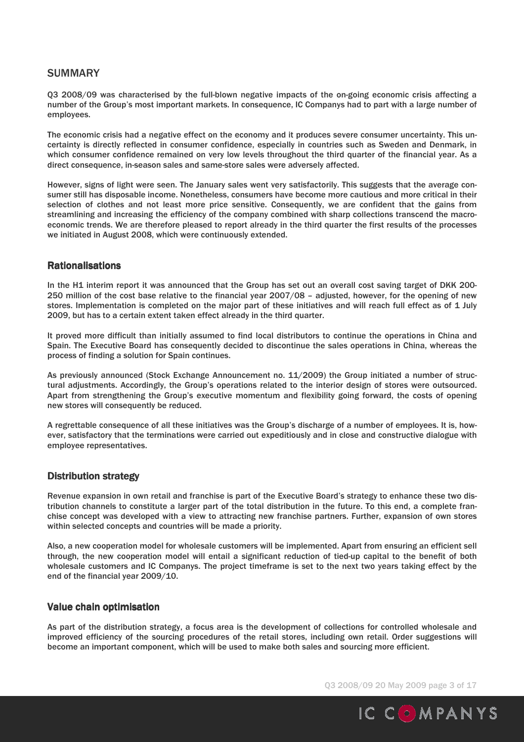## **SUMMARY**

Q3 2008/09 was characterised by the full-blown negative impacts of the on-going economic crisis affecting a number of the Group's most important markets. In consequence, IC Companys had to part with a large number of employees.

The economic crisis had a negative effect on the economy and it produces severe consumer uncertainty. This uncertainty is directly reflected in consumer confidence, especially in countries such as Sweden and Denmark, in which consumer confidence remained on very low levels throughout the third quarter of the financial year. As a direct consequence, in-season sales and same-store sales were adversely affected.

However, signs of light were seen. The January sales went very satisfactorily. This suggests that the average consumer still has disposable income. Nonetheless, consumers have become more cautious and more critical in their selection of clothes and not least more price sensitive. Consequently, we are confident that the gains from streamlining and increasing the efficiency of the company combined with sharp collections transcend the macroeconomic trends. We are therefore pleased to report already in the third quarter the first results of the processes we initiated in August 2008, which were continuously extended.

### **Rationalisations**

In the H1 interim report it was announced that the Group has set out an overall cost saving target of DKK 200- 250 million of the cost base relative to the financial year 2007/08 – adjusted, however, for the opening of new stores. Implementation is completed on the major part of these initiatives and will reach full effect as of 1 July 2009, but has to a certain extent taken effect already in the third quarter.

It proved more difficult than initially assumed to find local distributors to continue the operations in China and Spain. The Executive Board has consequently decided to discontinue the sales operations in China, whereas the process of finding a solution for Spain continues.

As previously announced (Stock Exchange Announcement no. 11/2009) the Group initiated a number of structural adjustments. Accordingly, the Group's operations related to the interior design of stores were outsourced. Apart from strengthening the Group's executive momentum and flexibility going forward, the costs of opening new stores will consequently be reduced.

A regrettable consequence of all these initiatives was the Group's discharge of a number of employees. It is, however, satisfactory that the terminations were carried out expeditiously and in close and constructive dialogue with employee representatives.

### **Distribution strategy**

Revenue expansion in own retail and franchise is part of the Executive Board's strategy to enhance these two distribution channels to constitute a larger part of the total distribution in the future. To this end, a complete franchise concept was developed with a view to attracting new franchise partners. Further, expansion of own stores within selected concepts and countries will be made a priority.

Also, a new cooperation model for wholesale customers will be implemented. Apart from ensuring an efficient sell through, the new cooperation model will entail a significant reduction of tied-up capital to the benefit of both wholesale customers and IC Companys. The project timeframe is set to the next two years taking effect by the end of the financial year 2009/10.

#### Value chain optimisation

As part of the distribution strategy, a focus area is the development of collections for controlled wholesale and improved efficiency of the sourcing procedures of the retail stores, including own retail. Order suggestions will become an important component, which will be used to make both sales and sourcing more efficient.

Q3 2008/09 20 May 2009 page 3 of 17

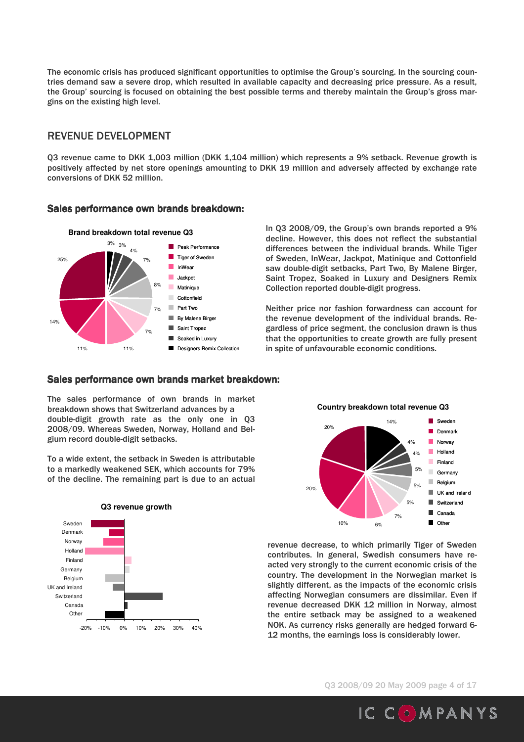The economic crisis has produced significant opportunities to optimise the Group's sourcing. In the sourcing countries demand saw a severe drop, which resulted in available capacity and decreasing price pressure. As a result, the Group' sourcing is focused on obtaining the best possible terms and thereby maintain the Group's gross margins on the existing high level.

## REVENUE DEVELOPMENT

Q3 revenue came to DKK 1,003 million (DKK 1,104 million) which represents a 9% setback. Revenue growth is positively affected by net store openings amounting to DKK 19 million and adversely affected by exchange rate conversions of DKK 52 million.

#### Sales performance own brands breakdown:



In Q3 2008/09, the Group's own brands reported a 9% decline. However, this does not reflect the substantial differences between the individual brands. While Tiger of Sweden, InWear, Jackpot, Matinique and Cottonfield saw double-digit setbacks, Part Two, By Malene Birger, Saint Tropez, Soaked in Luxury and Designers Remix Collection reported double-digit progress.

Neither price nor fashion forwardness can account for the revenue development of the individual brands. Regardless of price segment, the conclusion drawn is thus that the opportunities to create growth are fully present in spite of unfavourable economic conditions.

### Sales performance own brands market breakdown:

The sales performance of own brands in market breakdown shows that Switzerland advances by a double-digit growth rate as the only one in Q3 2008/09. Whereas Sweden, Norway, Holland and Belgium record double-digit setbacks.

To a wide extent, the setback in Sweden is attributable to a markedly weakened SEK, which accounts for 79% of the decline. The remaining part is due to an actual



**Country breakdown total revenue Q3**



revenue decrease, to which primarily Tiger of Sweden contributes. In general, Swedish consumers have reacted very strongly to the current economic crisis of the country. The development in the Norwegian market is slightly different, as the impacts of the economic crisis affecting Norwegian consumers are dissimilar. Even if revenue decreased DKK 12 million in Norway, almost the entire setback may be assigned to a weakened NOK. As currency risks generally are hedged forward 6- 12 months, the earnings loss is considerably lower.

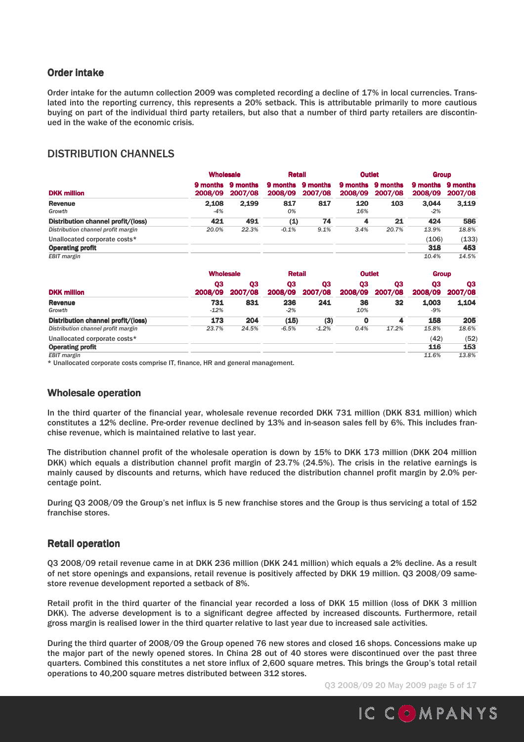## **Order intake**

Order intake for the autumn collection 2009 was completed recording a decline of 17% in local currencies. Translated into the reporting currency, this represents a 20% setback. This is attributable primarily to more cautious buying on part of the individual third party retailers, but also that a number of third party retailers are discontinued in the wake of the economic crisis.

# DISTRIBUTION CHANNELS

|                                    |         | <b>Wholesale</b>             |                            | <b>Retail</b>       |                     | <b>Outlet</b>       |                            | <b>Group</b>        |  |
|------------------------------------|---------|------------------------------|----------------------------|---------------------|---------------------|---------------------|----------------------------|---------------------|--|
| <b>DKK million</b>                 | 2008/09 | 9 months 9 months<br>2007/08 | <b>9 months</b><br>2008/09 | 9 months<br>2007/08 | 9 months<br>2008/09 | 9 months<br>2007/08 | <b>9 months</b><br>2008/09 | 9 months<br>2007/08 |  |
| <b>Revenue</b>                     | 2.108   | 2.199                        | 817                        | 817                 | 120                 | 103                 | 3.044                      | 3.119               |  |
| Growth                             | $-4%$   |                              | 0%                         |                     | 16%                 |                     | $-2%$                      |                     |  |
| Distribution channel profit/(loss) | 421     | 491                          | (1)                        | 74                  | 4                   | 21                  | 424                        | 586                 |  |
| Distribution channel profit margin | 20.0%   | 22.3%                        | $-0.1%$                    | 9.1%                | 3.4%                | 20.7%               | 13.9%                      | 18.8%               |  |
| Unallocated corporate costs*       |         |                              |                            |                     |                     |                     | (106)                      | (133)               |  |
| <b>Operating profit</b>            |         |                              |                            |                     |                     |                     | 318                        | 453                 |  |
| <b>EBIT</b> margin                 |         |                              |                            |                     |                     |                     | 10.4%                      | 14.5%               |  |

|                                    | <b>Wholesale</b> |                           | <b>Retail</b> |               | <b>Outlet</b> |               | <b>Group</b>   |               |
|------------------------------------|------------------|---------------------------|---------------|---------------|---------------|---------------|----------------|---------------|
| <b>DKK million</b>                 | 03<br>2008/09    | Q <sub>3</sub><br>2007/08 | 03<br>2008/09 | Q3<br>2007/08 | 03<br>2008/09 | 03<br>2007/08 | 03<br>2008/09  | 03<br>2007/08 |
| <b>Revenue</b><br>Growth           | 731<br>$-12%$    | 831                       | 236<br>$-2%$  | 241           | 36<br>10%     | 32            | 1.003<br>$-9%$ | 1.104         |
| Distribution channel profit/(loss) | 173              | 204                       | (15)          | (3)           |               | 4             | 158            | 205           |
| Distribution channel profit margin | 23.7%            | 24.5%                     | $-6.5%$       | $-1.2%$       | 0.4%          | 17.2%         | 15.8%          | 18.6%         |
| Unallocated corporate costs*       |                  |                           |               |               |               |               | (42)           | (52)          |
| <b>Operating profit</b>            |                  |                           |               |               |               |               | 116            | 153           |
| <b>EBIT</b> margin                 |                  |                           |               |               |               |               | 11.6%          | 13.8%         |

\* Unallocated corporate costs comprise IT, finance, HR and general management.

#### Wholesale operation

In the third quarter of the financial year, wholesale revenue recorded DKK 731 million (DKK 831 million) which constitutes a 12% decline. Pre-order revenue declined by 13% and in-season sales fell by 6%. This includes franchise revenue, which is maintained relative to last year.

The distribution channel profit of the wholesale operation is down by 15% to DKK 173 million (DKK 204 million DKK) which equals a distribution channel profit margin of 23.7% (24.5%). The crisis in the relative earnings is mainly caused by discounts and returns, which have reduced the distribution channel profit margin by 2.0% percentage point.

During Q3 2008/09 the Group's net influx is 5 new franchise stores and the Group is thus servicing a total of 152 franchise stores.

### Retail operation

Q3 2008/09 retail revenue came in at DKK 236 million (DKK 241 million) which equals a 2% decline. As a result of net store openings and expansions, retail revenue is positively affected by DKK 19 million. Q3 2008/09 samestore revenue development reported a setback of 8%.

Retail profit in the third quarter of the financial year recorded a loss of DKK 15 million (loss of DKK 3 million DKK). The adverse development is to a significant degree affected by increased discounts. Furthermore, retail gross margin is realised lower in the third quarter relative to last year due to increased sale activities.

During the third quarter of 2008/09 the Group opened 76 new stores and closed 16 shops. Concessions make up the major part of the newly opened stores. In China 28 out of 40 stores were discontinued over the past three quarters. Combined this constitutes a net store influx of 2,600 square metres. This brings the Group's total retail operations to 40,200 square metres distributed between 312 stores.

Q3 2008/09 20 May 2009 page 5 of 17

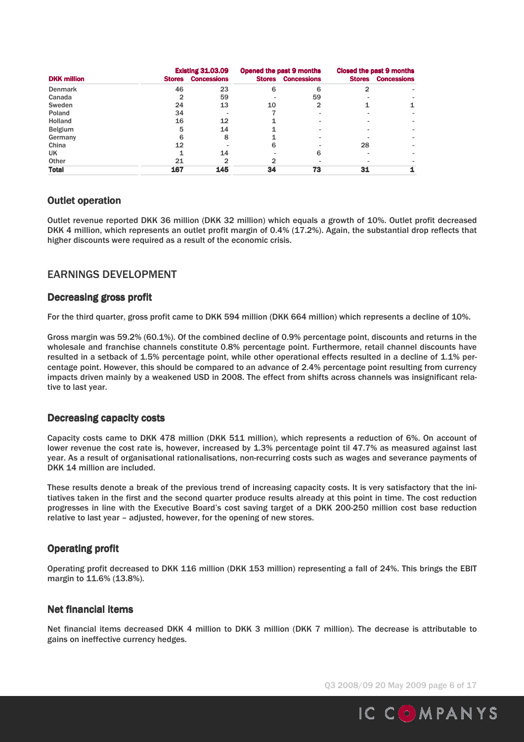|                    |               | <b>Existing 31.03.09</b> |               | Opened the past 9 months |               | Closed the past 9 months |
|--------------------|---------------|--------------------------|---------------|--------------------------|---------------|--------------------------|
| <b>DKK</b> million | <b>Stores</b> | <b>Concessions</b>       | <b>Stores</b> | <b>Concessions</b>       | <b>Stores</b> | <b>Concessions</b>       |
| <b>Denmark</b>     | 46            | 23                       | 6             | 6                        |               |                          |
| Canada             |               | 59                       |               | 59                       |               |                          |
| Sweden             | 24            | 13                       | 10            |                          |               |                          |
| Poland             | 34            |                          |               |                          |               |                          |
| <b>Holland</b>     | 16            | 12                       |               |                          |               |                          |
| <b>Belgium</b>     | 5             | 14                       |               |                          |               |                          |
| Germany            | ิค            | 8                        |               |                          |               |                          |
| China              | 12            |                          | 6             |                          | 28            |                          |
| UK                 |               | 14                       |               | 6                        |               |                          |
| Other              | 21            | 2                        |               |                          |               |                          |
| <b>Total</b>       | 167           | 145                      | 34            | 73                       | 31            |                          |

### **Outlet operation**

Outlet revenue reported DKK 36 million (DKK 32 million) which equals a growth of 10%. Outlet profit decreased DKK 4 million, which represents an outlet profit margin of 0.4% (17.2%). Again, the substantial drop reflects that higher discounts were required as a result of the economic crisis.

# EARNINGS DEVELOPMENT

### Decreasing gross profit

For the third quarter, gross profit came to DKK 594 million (DKK 664 million) which represents a decline of 10%.

Gross margin was 59.2% (60.1%). Of the combined decline of 0.9% percentage point, discounts and returns in the wholesale and franchise channels constitute 0.8% percentage point. Furthermore, retail channel discounts have resulted in a setback of 1.5% percentage point, while other operational effects resulted in a decline of 1.1% percentage point. However, this should be compared to an advance of 2.4% percentage point resulting from currency impacts driven mainly by a weakened USD in 2008. The effect from shifts across channels was insignificant relative to last year.

### Decreasing capacity costs

Capacity costs came to DKK 478 million (DKK 511 million), which represents a reduction of 6%. On account of lower revenue the cost rate is, however, increased by 1.3% percentage point til 47.7% as measured against last year. As a result of organisational rationalisations, non-recurring costs such as wages and severance payments of DKK 14 million are included.

These results denote a break of the previous trend of increasing capacity costs. It is very satisfactory that the initiatives taken in the first and the second quarter produce results already at this point in time. The cost reduction progresses in line with the Executive Board's cost saving target of a DKK 200-250 million cost base reduction relative to last year – adjusted, however, for the opening of new stores.

## **Operating profit**

Operating profit decreased to DKK 116 million (DKK 153 million) representing a fall of 24%. This brings the EBIT margin to 11.6% (13.8%).

### Net financial items

Net financial items decreased DKK 4 million to DKK 3 million (DKK 7 million). The decrease is attributable to gains on ineffective currency hedges.

Q3 2008/09 20 May 2009 page 6 of 17

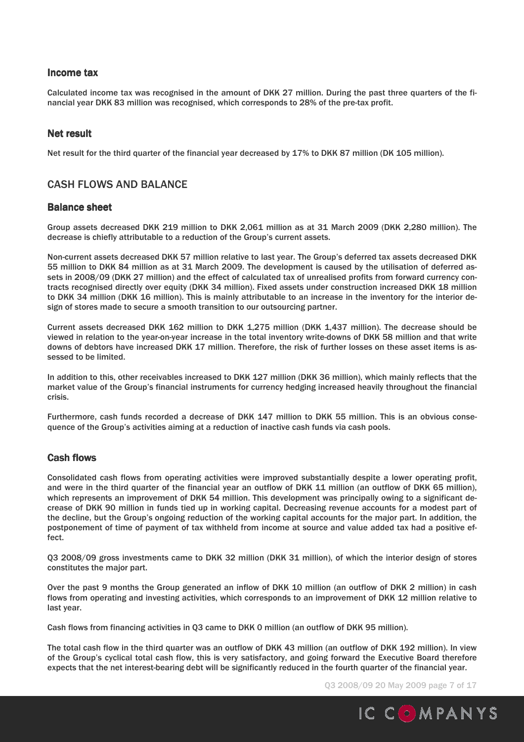### Income tax

Calculated income tax was recognised in the amount of DKK 27 million. During the past three quarters of the financial year DKK 83 million was recognised, which corresponds to 28% of the pre-tax profit.

#### Net result

Net result for the third quarter of the financial year decreased by 17% to DKK 87 million (DK 105 million).

## CASH FLOWS AND BALANCE

#### **Balance sheet**

Group assets decreased DKK 219 million to DKK 2,061 million as at 31 March 2009 (DKK 2,280 million). The decrease is chiefly attributable to a reduction of the Group's current assets.

Non-current assets decreased DKK 57 million relative to last year. The Group's deferred tax assets decreased DKK 55 million to DKK 84 million as at 31 March 2009. The development is caused by the utilisation of deferred assets in 2008/09 (DKK 27 million) and the effect of calculated tax of unrealised profits from forward currency contracts recognised directly over equity (DKK 34 million). Fixed assets under construction increased DKK 18 million to DKK 34 million (DKK 16 million). This is mainly attributable to an increase in the inventory for the interior design of stores made to secure a smooth transition to our outsourcing partner.

Current assets decreased DKK 162 million to DKK 1,275 million (DKK 1,437 million). The decrease should be viewed in relation to the year-on-year increase in the total inventory write-downs of DKK 58 million and that write downs of debtors have increased DKK 17 million. Therefore, the risk of further losses on these asset items is assessed to be limited.

In addition to this, other receivables increased to DKK 127 million (DKK 36 million), which mainly reflects that the market value of the Group's financial instruments for currency hedging increased heavily throughout the financial crisis.

Furthermore, cash funds recorded a decrease of DKK 147 million to DKK 55 million. This is an obvious consequence of the Group's activities aiming at a reduction of inactive cash funds via cash pools.

#### **Cash flows**

Consolidated cash flows from operating activities were improved substantially despite a lower operating profit, and were in the third quarter of the financial year an outflow of DKK 11 million (an outflow of DKK 65 million), which represents an improvement of DKK 54 million. This development was principally owing to a significant decrease of DKK 90 million in funds tied up in working capital. Decreasing revenue accounts for a modest part of the decline, but the Group's ongoing reduction of the working capital accounts for the major part. In addition, the postponement of time of payment of tax withheld from income at source and value added tax had a positive effect.

Q3 2008/09 gross investments came to DKK 32 million (DKK 31 million), of which the interior design of stores constitutes the major part.

Over the past 9 months the Group generated an inflow of DKK 10 million (an outflow of DKK 2 million) in cash flows from operating and investing activities, which corresponds to an improvement of DKK 12 million relative to last year.

Cash flows from financing activities in Q3 came to DKK 0 million (an outflow of DKK 95 million).

The total cash flow in the third quarter was an outflow of DKK 43 million (an outflow of DKK 192 million). In view of the Group's cyclical total cash flow, this is very satisfactory, and going forward the Executive Board therefore expects that the net interest-bearing debt will be significantly reduced in the fourth quarter of the financial year.

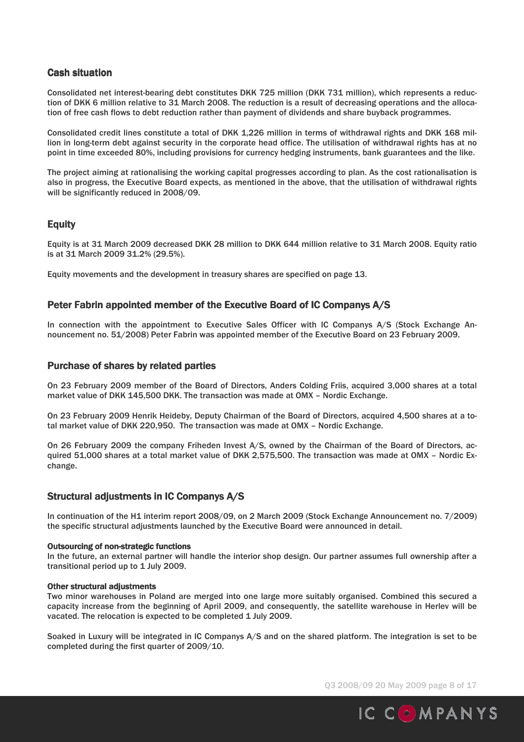## **Cash situation**

Consolidated net interest-bearing debt constitutes DKK 725 million (DKK 731 million), which represents a reduction of DKK 6 million relative to 31 March 2008. The reduction is a result of decreasing operations and the allocation of free cash flows to debt reduction rather than payment of dividends and share buyback programmes.

Consolidated credit lines constitute a total of DKK 1,226 million in terms of withdrawal rights and DKK 168 million in long-term debt against security in the corporate head office. The utilisation of withdrawal rights has at no point in time exceeded 80%, including provisions for currency hedging instruments, bank guarantees and the like.

The project aiming at rationalising the working capital progresses according to plan. As the cost rationalisation is also in progress, the Executive Board expects, as mentioned in the above, that the utilisation of withdrawal rights will be significantly reduced in 2008/09.

## **Equity**

Equity is at 31 March 2009 decreased DKK 28 million to DKK 644 million relative to 31 March 2008. Equity ratio is at 31 March 2009 31.2% (29.5%).

Equity movements and the development in treasury shares are specified on page 13.

#### Peter Fabrin appointed member of the Executive Board of IC Companys A/S

In connection with the appointment to Executive Sales Officer with IC Companys A/S (Stock Exchange Announcement no. 51/2008) Peter Fabrin was appointed member of the Executive Board on 23 February 2009.

#### Purchase of shares by related parties

On 23 February 2009 member of the Board of Directors, Anders Colding Friis, acquired 3,000 shares at a total market value of DKK 145,500 DKK. The transaction was made at OMX – Nordic Exchange.

On 23 February 2009 Henrik Heideby, Deputy Chairman of the Board of Directors, acquired 4,500 shares at a total market value of DKK 220,950. The transaction was made at OMX – Nordic Exchange.

On 26 February 2009 the company Friheden Invest A/S, owned by the Chairman of the Board of Directors, acquired 51,000 shares at a total market value of DKK 2,575,500. The transaction was made at OMX – Nordic Exchange.

### Structural adjustments in IC Companys A/S

In continuation of the H1 interim report 2008/09, on 2 March 2009 (Stock Exchange Announcement no. 7/2009) the specific structural adjustments launched by the Executive Board were announced in detail.

#### Outsourcing of non-strategic functions

In the future, an external partner will handle the interior shop design. Our partner assumes full ownership after a transitional period up to 1 July 2009.

#### Other structural adjustments

Two minor warehouses in Poland are merged into one large more suitably organised. Combined this secured a capacity increase from the beginning of April 2009, and consequently, the satellite warehouse in Herlev will be vacated. The relocation is expected to be completed 1 July 2009.

Soaked in Luxury will be integrated in IC Companys A/S and on the shared platform. The integration is set to be completed during the first quarter of 2009/10.

Q3 2008/09 20 May 2009 page 8 of 17

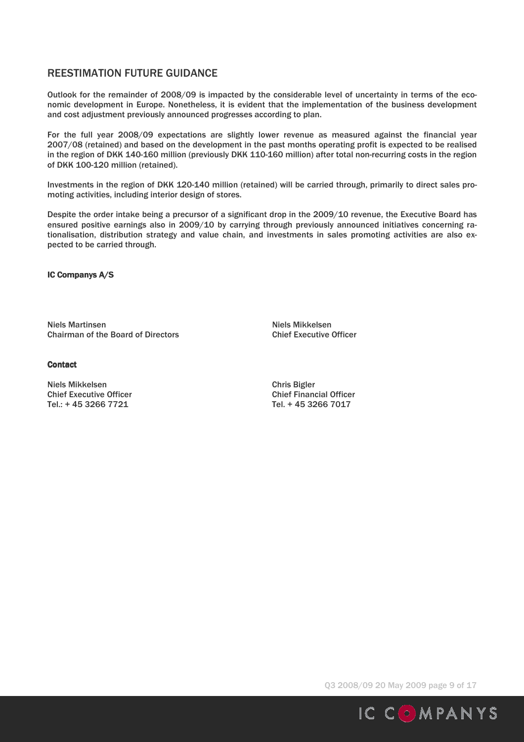# REESTIMATION FUTURE GUIDANCE

Outlook for the remainder of 2008/09 is impacted by the considerable level of uncertainty in terms of the economic development in Europe. Nonetheless, it is evident that the implementation of the business development and cost adjustment previously announced progresses according to plan.

For the full year 2008/09 expectations are slightly lower revenue as measured against the financial year 2007/08 (retained) and based on the development in the past months operating profit is expected to be realised in the region of DKK 140-160 million (previously DKK 110-160 million) after total non-recurring costs in the region of DKK 100-120 million (retained).

Investments in the region of DKK 120-140 million (retained) will be carried through, primarily to direct sales promoting activities, including interior design of stores.

Despite the order intake being a precursor of a significant drop in the 2009/10 revenue, the Executive Board has ensured positive earnings also in 2009/10 by carrying through previously announced initiatives concerning rationalisation, distribution strategy and value chain, and investments in sales promoting activities are also expected to be carried through.

IC Companys A/S

Niels Martinsen Niels Mikkelsen Chairman of the Board of Directors Chief Executive Officer

**Contact** 

Niels Mikkelsen Chris Bigler Chief Executive Officer<br>
Tel.: + 45 3266 7721 Tel.: + 45 3266 7017 Tel.: + 45 3266 7721

Q3 2008/09 20 May 2009 page 9 of 17

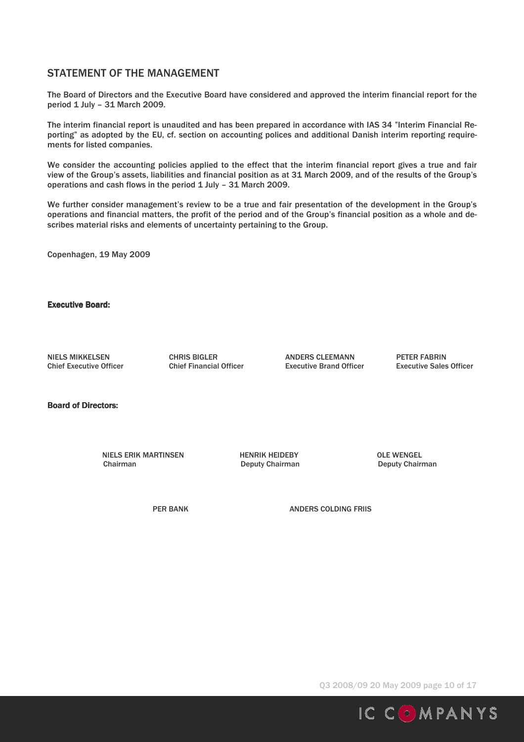# STATEMENT OF THE MANAGEMENT

The Board of Directors and the Executive Board have considered and approved the interim financial report for the period 1 July – 31 March 2009.

The interim financial report is unaudited and has been prepared in accordance with IAS 34 "Interim Financial Reporting" as adopted by the EU, cf. section on accounting polices and additional Danish interim reporting requirements for listed companies.

We consider the accounting policies applied to the effect that the interim financial report gives a true and fair view of the Group's assets, liabilities and financial position as at 31 March 2009, and of the results of the Group's operations and cash flows in the period 1 July – 31 March 2009.

We further consider management's review to be a true and fair presentation of the development in the Group's operations and financial matters, the profit of the period and of the Group's financial position as a whole and describes material risks and elements of uncertainty pertaining to the Group.

Copenhagen, 19 May 2009

**Executive Board:** 

NIELS MIKKELSEN CHRIS BIGLER ANDERS CLEEMANN PETER FABRIN Chief Executive Officer Chief Financial Officer Executive Brand Officer Executive Sales Officer

Board of Directors:

NIELS ERIK MARTINSEN HENRIK HEIDEBY OLE WENGEL Chairman Deputy Chairman Deputy Chairman

PER BANK **ANDERS COLDING FRIIS** 

Q3 2008/09 20 May 2009 page 10 of 17

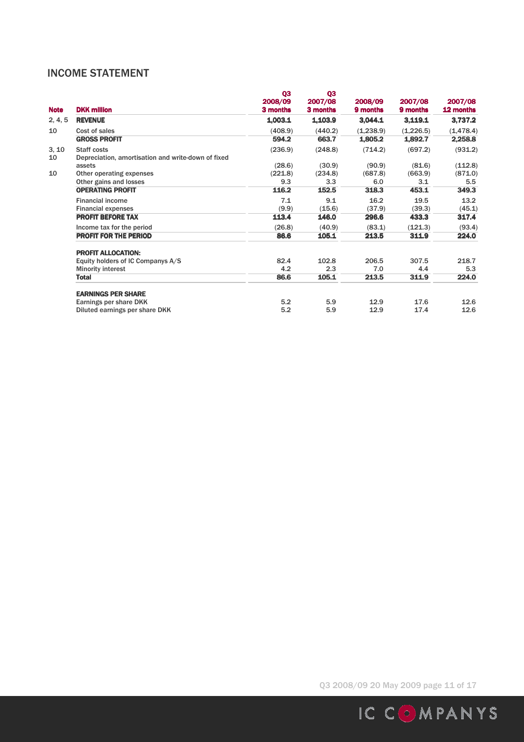# INCOME STATEMENT

| <b>Note</b> | <b>DKK million</b>                                 | Q3<br>2008/09<br>3 months | Q <sub>3</sub><br>2007/08<br>3 months | 2008/09<br>9 months | 2007/08<br>9 months | 2007/08<br>12 months |
|-------------|----------------------------------------------------|---------------------------|---------------------------------------|---------------------|---------------------|----------------------|
| 2, 4, 5     | <b>REVENUE</b>                                     | 1,003.1                   | 1,103.9                               | 3,044.1             | 3,119.1             | 3,737.2              |
| 10          | Cost of sales                                      | (408.9)                   | (440.2)                               | (1,238.9)           | (1,226.5)           | (1, 478.4)           |
|             | <b>GROSS PROFIT</b>                                | 594.2                     | 663.7                                 | 1,805.2             | 1,892.7             | 2,258.8              |
| 3, 10       | <b>Staff costs</b>                                 | (236.9)                   | (248.8)                               | (714.2)             | (697.2)             | (931.2)              |
| 10          | Depreciation, amortisation and write-down of fixed |                           |                                       |                     |                     |                      |
|             | assets                                             | (28.6)                    | (30.9)                                | (90.9)              | (81.6)              | (112.8)              |
| 10          | Other operating expenses                           | (221.8)                   | (234.8)                               | (687.8)             | (663.9)             | (871.0)              |
|             | Other gains and losses                             | 9.3                       | 3.3                                   | 6.0                 | 3.1                 | 5.5                  |
|             | <b>OPERATING PROFIT</b>                            | 116.2                     | 152.5                                 | 318.3               | 453.1               | 349.3                |
|             | <b>Financial income</b>                            | 7.1                       | 9.1                                   | 16.2                | 19.5                | 13.2                 |
|             | <b>Financial expenses</b>                          | (9.9)                     | (15.6)                                | (37.9)              | (39.3)              | (45.1)               |
|             | <b>PROFIT BEFORE TAX</b>                           | 113.4                     | 146.0                                 | 296.6               | 433.3               | 317.4                |
|             | Income tax for the period                          | (26.8)                    | (40.9)                                | (83.1)              | (121.3)             | (93.4)               |
|             | <b>PROFIT FOR THE PERIOD</b>                       | 86.6                      | 105.1                                 | 213.5               | 311.9               | 224.0                |
|             | <b>PROFIT ALLOCATION:</b>                          |                           |                                       |                     |                     |                      |
|             | Equity holders of IC Companys A/S                  | 82.4                      | 102.8                                 | 206.5               | 307.5               | 218.7                |
|             | <b>Minority interest</b>                           | 4.2                       | 2.3                                   | 7.0                 | 4.4                 | 5.3                  |
|             | <b>Total</b>                                       | 86.6                      | 105.1                                 | 213.5               | 311.9               | 224.0                |
|             | <b>EARNINGS PER SHARE</b>                          |                           |                                       |                     |                     |                      |
|             | Earnings per share DKK                             | 5.2                       | 5.9                                   | 12.9                | 17.6                | 12.6                 |
|             | Diluted earnings per share DKK                     | 5.2                       | 5.9                                   | 12.9                | 17.4                | 12.6                 |

Q3 2008/09 20 May 2009 page 11 of 17

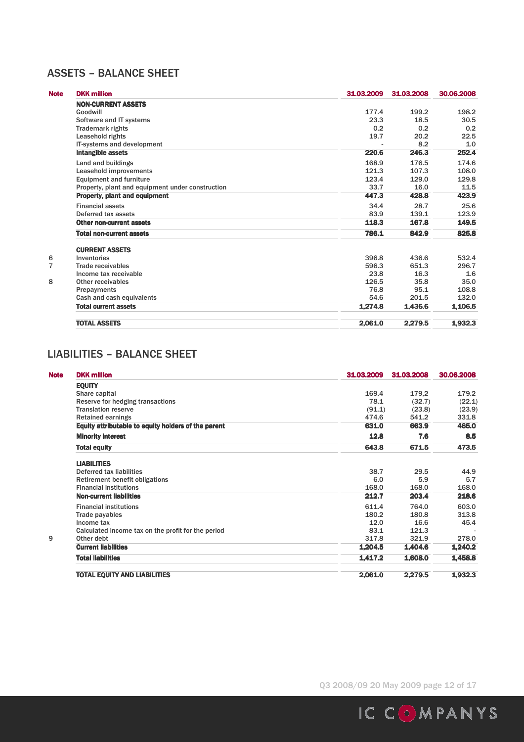# ASSETS – BALANCE SHEET

| <b>Note</b>    | <b>DKK million</b>                               | 31.03.2009 | 31.03.2008 | 30.06.2008 |
|----------------|--------------------------------------------------|------------|------------|------------|
|                | <b>NON-CURRENT ASSETS</b>                        |            |            |            |
|                | Goodwill                                         | 177.4      | 199.2      | 198.2      |
|                | Software and IT systems                          | 23.3       | 18.5       | 30.5       |
|                | <b>Trademark rights</b>                          | 0.2        | 0.2        | 0.2        |
|                | Leasehold rights                                 | 19.7       | 20.2       | 22.5       |
|                | IT-systems and development                       |            | 8.2        | 1.0        |
|                | <b>Intangible assets</b>                         | 220.6      | 246.3      | 252.4      |
|                | Land and buildings                               | 168.9      | 176.5      | 174.6      |
|                | Leasehold improvements                           | 121.3      | 107.3      | 108.0      |
|                | <b>Equipment and furniture</b>                   | 123.4      | 129.0      | 129.8      |
|                | Property, plant and equipment under construction | 33.7       | 16.0       | 11.5       |
|                | <b>Property, plant and equipment</b>             | 447.3      | 428.8      | 423.9      |
|                | <b>Financial assets</b>                          | 34.4       | 28.7       | 25.6       |
|                | Deferred tax assets                              | 83.9       | 139.1      | 123.9      |
|                | <b>Other non-current assets</b>                  | 118.3      | 167.8      | 149.5      |
|                | <b>Total non-current assets</b>                  | 786.1      | 842.9      | 825.8      |
|                | <b>CURRENT ASSETS</b>                            |            |            |            |
| 6              | Inventories                                      | 396.8      | 436.6      | 532.4      |
| $\overline{7}$ | <b>Trade receivables</b>                         | 596.3      | 651.3      | 296.7      |
|                | Income tax receivable                            | 23.8       | 16.3       | 1.6        |
| 8              | Other receivables                                | 126.5      | 35.8       | 35.0       |
|                | Prepayments                                      | 76.8       | 95.1       | 108.8      |
|                | Cash and cash equivalents                        | 54.6       | 201.5      | 132.0      |
|                | <b>Total current assets</b>                      | 1,274.8    | 1,436.6    | 1,106.5    |
|                | <b>TOTAL ASSETS</b>                              | 2.061.0    | 2.279.5    | 1,932.3    |

# LIABILITIES – BALANCE SHEET

| <b>DKK million</b>                                  | 31.03.2009 | 31.03.2008 | 30.06.2008 |
|-----------------------------------------------------|------------|------------|------------|
| <b>EQUITY</b>                                       |            |            |            |
| Share capital                                       | 169.4      | 179,2      | 179.2      |
| Reserve for hedging transactions                    | 78.1       | (32.7)     | (22.1)     |
| <b>Translation reserve</b>                          | (91.1)     | (23.8)     | (23.9)     |
| <b>Retained earnings</b>                            | 474.6      | 541.2      | 331.8      |
| Equity attributable to equity holders of the parent | 631.0      | 663.9      | 465.0      |
| <b>Minority interest</b>                            | 12.8       | 7.6        | 8.5        |
| <b>Total equity</b>                                 | 643.8      | 671.5      | 473.5      |
| <b>LIABILITIES</b>                                  |            |            |            |
| Deferred tax liabilities                            | 38.7       | 29.5       | 44.9       |
| Retirement benefit obligations                      | 6.0        | 5.9        | 5.7        |
| <b>Financial institutions</b>                       | 168.0      | 168.0      | 168.0      |
| <b>Non-current liabilities</b>                      | 212.7      | 203.4      | 218.6      |
| <b>Financial institutions</b>                       | 611.4      | 764.0      | 603.0      |
| Trade payables                                      | 180.2      | 180.8      | 313.8      |
| Income tax                                          | 12.0       | 16.6       | 45.4       |
| Calculated income tax on the profit for the period  | 83.1       | 121.3      |            |
| Other debt                                          | 317.8      | 321.9      | 278.0      |
| <b>Current liabilities</b>                          | 1,204.5    | 1,404.6    | 1,240.2    |
| <b>Total liabilities</b>                            | 1.417.2    | 1,608.0    | 1.458.8    |
| <b>TOTAL EQUITY AND LIABILITIES</b>                 | 2.061.0    | 2.279.5    | 1.932.3    |
|                                                     |            |            |            |

Q3 2008/09 20 May 2009 page 12 of 17

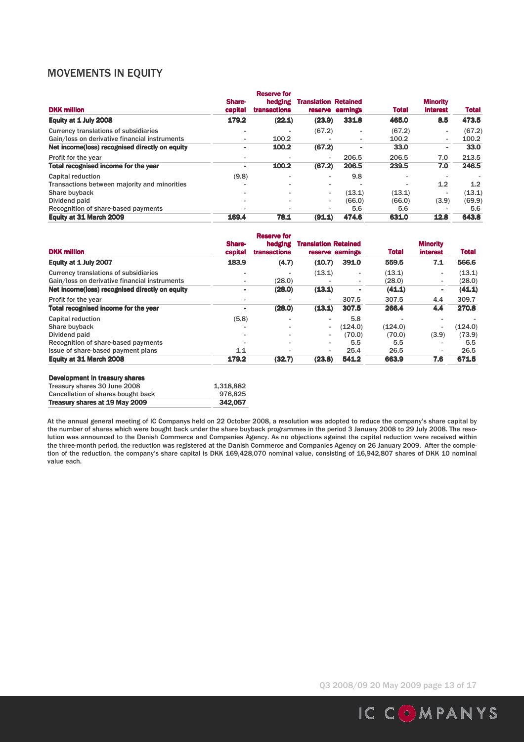# MOVEMENTS IN EQUITY

| <b>DKK million</b>                             | Share-<br>capital | <b>Reserve for</b><br>hedging<br>transactions | <b>Translation Retained</b> | reserve earnings         | <b>Total</b> | <b>Minority</b><br><b>interest</b> | <b>Total</b> |
|------------------------------------------------|-------------------|-----------------------------------------------|-----------------------------|--------------------------|--------------|------------------------------------|--------------|
| Equity at 1 July 2008                          | 179.2             | (22.1)                                        | (23.9)                      | 331.8                    | 465.0        | 8.5                                | 473.5        |
| <b>Currency translations of subsidiaries</b>   |                   |                                               | (67.2)                      |                          | (67.2)       | ٠                                  | (67.2)       |
| Gain/loss on derivative financial instruments  | ۰.                | 100.2                                         | $\overline{\phantom{0}}$    | $\overline{\phantom{a}}$ | 100.2        | ٠                                  | 100.2        |
| Net income(loss) recognised directly on equity |                   | 100.2                                         | (67.2)                      | -                        | 33.0         | ٠                                  | 33.0         |
| Profit for the year                            |                   |                                               | $\overline{\phantom{a}}$    | 206.5                    | 206.5        | 7.0                                | 213.5        |
| Total recognised income for the year           |                   | 100.2                                         | (67.2)                      | 206.5                    | 239.5        | 7.0                                | 246.5        |
| Capital reduction                              | (9.8)             |                                               | $\overline{\phantom{a}}$    | 9.8                      |              | $\overline{\phantom{a}}$           |              |
| Transactions between majority and minorities   |                   | $\overline{\phantom{a}}$                      | $\overline{\phantom{a}}$    |                          |              | 1.2                                | 1.2          |
| Share buyback                                  |                   | $\overline{\phantom{a}}$                      | $\overline{\phantom{a}}$    | (13.1)                   | (13.1)       | $\overline{\phantom{a}}$           | (13.1)       |
| Dividend paid                                  |                   |                                               | $\overline{\phantom{a}}$    | (66.0)                   | (66.0)       | (3.9)                              | (69.9)       |
| Recognition of share-based payments            |                   |                                               | $\overline{\phantom{a}}$    | 5.6                      | 5.6          | $\overline{\phantom{a}}$           | 5.6          |
| Equity at 31 March 2009                        | 169.4             | 78.1                                          | (91.1)                      | 474.6                    | 631.0        | 12.8                               | 643.8        |

| <b>DKK million</b>                                                    | Share-<br>capital        | <b>Reserve for</b><br>hedging<br><b>transactions</b> | <b>Translation Retained</b> | reserve earnings | <b>Total</b> | <b>Minority</b><br><b>interest</b> | <b>Total</b> |
|-----------------------------------------------------------------------|--------------------------|------------------------------------------------------|-----------------------------|------------------|--------------|------------------------------------|--------------|
| Equity at 1 July 2007                                                 | 183.9                    | (4.7)                                                | (10.7)                      | 391.0            | 559.5        | 7.1                                | 566.6        |
| Currency translations of subsidiaries                                 | $\overline{\phantom{a}}$ |                                                      | (13.1)                      | ۰                | (13.1)       | ٠                                  | (13.1)       |
| Gain/loss on derivative financial instruments                         | ٠                        | (28.0)                                               |                             | ٠                | (28.0)       | ۰.                                 | (28.0)       |
| Net income(loss) recognised directly on equity                        | ٠                        | (28.0)                                               | (13.1)                      |                  | (41.1)       | ٠                                  | (41.1)       |
| Profit for the year                                                   | ٠                        |                                                      | $\overline{\phantom{a}}$    | 307.5            | 307.5        | 4.4                                | 309.7        |
| Total recognised income for the year                                  | ٠                        | (28.0)                                               | (13.1)                      | 307.5            | 266.4        | 4.4                                | 270.8        |
| Capital reduction                                                     | (5.8)                    |                                                      |                             | 5.8              |              | $\overline{\phantom{a}}$           |              |
| Share buyback                                                         |                          |                                                      | $\overline{\phantom{a}}$    | (124.0)          | (124.0)      | $\blacksquare$                     | (124.0)      |
| Dividend paid                                                         |                          |                                                      | $\overline{\phantom{a}}$    | (70.0)           | (70.0)       | (3.9)                              | (73.9)       |
| Recognition of share-based payments                                   |                          |                                                      |                             | 5.5              | 5.5          | $\blacksquare$                     | 5.5          |
| Issue of share-based payment plans                                    | 1.1                      |                                                      |                             | 25.4             | 26.5         | $\blacksquare$                     | 26.5         |
| Equity at 31 March 2008                                               | 179.2                    | (32.7)                                               | (23.8)                      | 541.2            | 663.9        | 7.6                                | 671.5        |
| <b>Development in treasury shares</b><br>Treasury shares 30 June 2008 | 1,318,882                |                                                      |                             |                  |              |                                    |              |

| Treasury shares at 19 May 2009      | 342.057 |
|-------------------------------------|---------|
| Cancellation of shares bought back  | 976.825 |
| <b>Treasury shares oo sanc 2000</b> | ------- |

At the annual general meeting of IC Companys held on 22 October 2008, a resolution was adopted to reduce the company's share capital by the number of shares which were bought back under the share buyback programmes in the period 3 January 2008 to 29 July 2008. The resolution was announced to the Danish Commerce and Companies Agency. As no objections against the capital reduction were received within the three-month period, the reduction was registered at the Danish Commerce and Companies Agency on 26 January 2009. After the completion of the reduction, the company's share capital is DKK 169,428,070 nominal value, consisting of 16,942,807 shares of DKK 10 nominal value each.

Q3 2008/09 20 May 2009 page 13 of 17

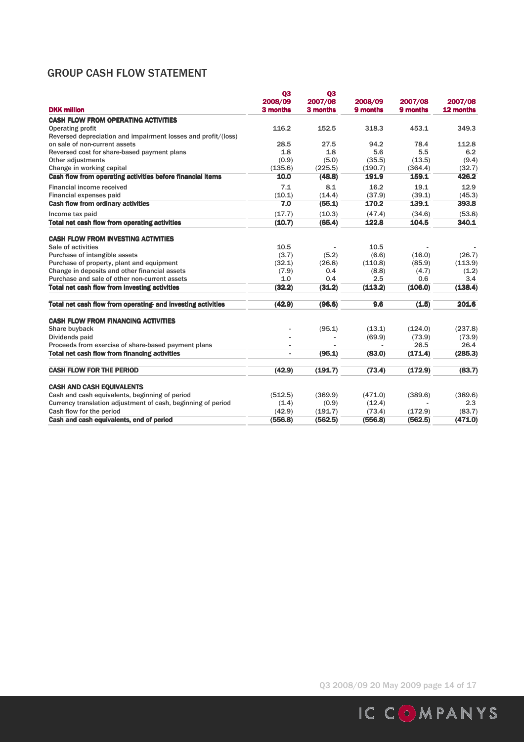# GROUP CASH FLOW STATEMENT

| <b>DKK million</b>                                            | Q <sub>3</sub><br>2008/09<br>3 months | <b>Q3</b><br>2007/08<br>3 months | 2008/09<br>9 months | 2007/08<br>9 months | 2007/08<br>12 months |
|---------------------------------------------------------------|---------------------------------------|----------------------------------|---------------------|---------------------|----------------------|
| <b>CASH FLOW FROM OPERATING ACTIVITIES</b>                    |                                       |                                  |                     |                     |                      |
| <b>Operating profit</b>                                       | 116.2                                 | 152.5                            | 318.3               | 453.1               | 349.3                |
| Reversed depreciation and impairment losses and profit/(loss) |                                       |                                  |                     |                     |                      |
| on sale of non-current assets                                 | 28.5                                  | 27.5                             | 94.2                | 78.4                | 112.8                |
| Reversed cost for share-based payment plans                   | 1.8                                   | 1.8                              | 5.6                 | 5.5                 | 6.2                  |
| Other adjustments                                             | (0.9)                                 | (5.0)                            | (35.5)              | (13.5)              | (9.4)                |
| Change in working capital                                     | (135.6)                               | (225.5)                          | (190.7)             | (364.4)             | (32.7)               |
| Cash flow from operating activities before financial items    | 10.0                                  | (48.8)                           | 191.9               | 159.1               | 426.2                |
| <b>Financial income received</b>                              | 7.1                                   | 8.1                              | 16.2                | 19.1                | 12.9                 |
| Financial expenses paid                                       | (10.1)                                | (14.4)                           | (37.9)              | (39.1)              | (45.3)               |
| <b>Cash flow from ordinary activities</b>                     | 7.0                                   | (55.1)                           | 170.2               | 139.1               | 393.8                |
| Income tax paid                                               | (17.7)                                | (10.3)                           | (47.4)              | (34.6)              | (53.8)               |
| Total net cash flow from operating activities                 | (10.7)                                | (65.4)                           | 122.8               | 104.5               | 340.1                |
| <b>CASH FLOW FROM INVESTING ACTIVITIES</b>                    |                                       |                                  |                     |                     |                      |
| Sale of activities                                            | 10.5                                  |                                  | 10.5                |                     |                      |
| Purchase of intangible assets                                 | (3.7)                                 | (5.2)                            | (6.6)               | (16.0)              | (26.7)               |
| Purchase of property, plant and equipment                     | (32.1)                                | (26.8)                           | (110.8)             | (85.9)              | (113.9)              |
| Change in deposits and other financial assets                 | (7.9)                                 | 0.4                              | (8.8)               | (4.7)               | (1.2)                |
| Purchase and sale of other non-current assets                 | 1.0                                   | 0.4                              | 2.5                 | 0.6                 | 3.4                  |
| <b>Total net cash flow from investing activities</b>          | (32.2)                                | (31.2)                           | (113.2)             | (106.0)             | (138.4)              |
| Total net cash flow from operating- and investing activities  | (42.9)                                | (96.6)                           | 9.6                 | (1.5)               | 201.6                |
| <b>CASH FLOW FROM FINANCING ACTIVITIES</b>                    |                                       |                                  |                     |                     |                      |
| Share buyback                                                 |                                       | (95.1)                           | (13.1)              | (124.0)             | (237.8)              |
| Dividends paid                                                |                                       |                                  | (69.9)              | (73.9)              | (73.9)               |
| Proceeds from exercise of share-based payment plans           |                                       |                                  |                     | 26.5                | 26.4                 |
| <b>Total net cash flow from financing activities</b>          |                                       | (95.1)                           | (83.0)              | (171.4)             | (285.3)              |
| <b>CASH FLOW FOR THE PERIOD</b>                               | (42.9)                                | (191.7)                          | (73.4)              | (172.9)             | (83.7)               |
| <b>CASH AND CASH EQUIVALENTS</b>                              |                                       |                                  |                     |                     |                      |
| Cash and cash equivalents, beginning of period                | (512.5)                               | (369.9)                          | (471.0)             | (389.6)             | (389.6)              |
| Currency translation adjustment of cash, beginning of period  | (1.4)                                 | (0.9)                            | (12.4)              |                     | 2.3                  |
| Cash flow for the period                                      | (42.9)                                | (191.7)                          | (73.4)              | (172.9)             | (83.7)               |
| Cash and cash equivalents, end of period                      | (556.8)                               | (562.5)                          | (556.8)             | (562.5)             | (471.0)              |

Q3 2008/09 20 May 2009 page 14 of 17

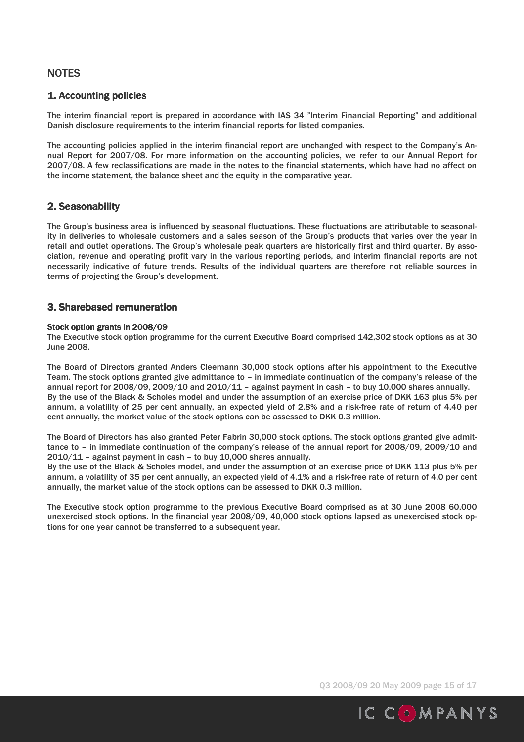## **NOTES**

## 1. Accounting policies

The interim financial report is prepared in accordance with IAS 34 "Interim Financial Reporting" and additional Danish disclosure requirements to the interim financial reports for listed companies.

The accounting policies applied in the interim financial report are unchanged with respect to the Company's Annual Report for 2007/08. For more information on the accounting policies, we refer to our Annual Report for 2007/08. A few reclassifications are made in the notes to the financial statements, which have had no affect on the income statement, the balance sheet and the equity in the comparative year.

## 2. Seasonability

The Group's business area is influenced by seasonal fluctuations. These fluctuations are attributable to seasonality in deliveries to wholesale customers and a sales season of the Group's products that varies over the year in retail and outlet operations. The Group's wholesale peak quarters are historically first and third quarter. By association, revenue and operating profit vary in the various reporting periods, and interim financial reports are not necessarily indicative of future trends. Results of the individual quarters are therefore not reliable sources in terms of projecting the Group's development.

### 3. Sharebased remuneration

#### Stock option grants in 2008/09

The Executive stock option programme for the current Executive Board comprised 142,302 stock options as at 30 June 2008.

The Board of Directors granted Anders Cleemann 30,000 stock options after his appointment to the Executive Team. The stock options granted give admittance to – in immediate continuation of the company's release of the annual report for 2008/09, 2009/10 and 2010/11 - against payment in cash - to buy 10,000 shares annually. By the use of the Black & Scholes model and under the assumption of an exercise price of DKK 163 plus 5% per annum, a volatility of 25 per cent annually, an expected yield of 2.8% and a risk-free rate of return of 4.40 per cent annually, the market value of the stock options can be assessed to DKK 0.3 million.

The Board of Directors has also granted Peter Fabrin 30,000 stock options. The stock options granted give admittance to – in immediate continuation of the company's release of the annual report for 2008/09, 2009/10 and 2010/11 – against payment in cash – to buy 10,000 shares annually.

By the use of the Black & Scholes model, and under the assumption of an exercise price of DKK 113 plus 5% per annum, a volatility of 35 per cent annually, an expected yield of 4.1% and a risk-free rate of return of 4.0 per cent annually, the market value of the stock options can be assessed to DKK 0.3 million.

The Executive stock option programme to the previous Executive Board comprised as at 30 June 2008 60,000 unexercised stock options. In the financial year 2008/09, 40,000 stock options lapsed as unexercised stock options for one year cannot be transferred to a subsequent year.

Q3 2008/09 20 May 2009 page 15 of 17

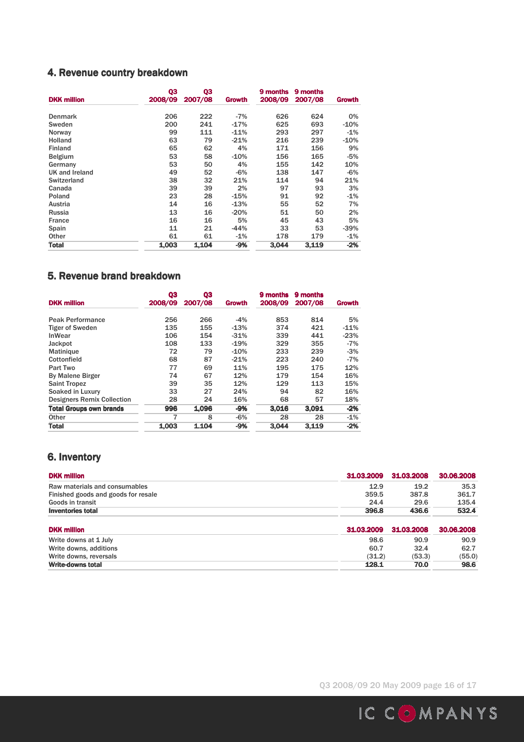# 4. Revenue country breakdown

| <b>DKK million</b> | Q3<br>2008/09 | Q3<br>2007/08 | <b>Growth</b> | 9 months<br>2008/09 | 9 months<br>2007/08 | <b>Growth</b> |
|--------------------|---------------|---------------|---------------|---------------------|---------------------|---------------|
| <b>Denmark</b>     | 206           | 222           | $-7%$         | 626                 | 624                 | 0%            |
| Sweden             | 200           | 241           | $-17%$        | 625                 | 693                 | -10%          |
| Norway             | 99            | 111           | $-11%$        | 293                 | 297                 | $-1%$         |
| <b>Holland</b>     | 63            | 79            | $-21%$        | 216                 | 239                 | $-10%$        |
| <b>Finland</b>     | 65            | 62            | 4%            | 171                 | 156                 | 9%            |
| <b>Belgium</b>     | 53            | 58            | $-10%$        | 156                 | 165                 | $-5%$         |
| Germany            | 53            | 50            | 4%            | 155                 | 142                 | 10%           |
| UK and Ireland     | 49            | 52            | $-6%$         | 138                 | 147                 | $-6%$         |
| Switzerland        | 38            | 32            | 21%           | 114                 | 94                  | 21%           |
| Canada             | 39            | 39            | 2%            | 97                  | 93                  | 3%            |
| Poland             | 23            | 28            | $-15%$        | 91                  | 92                  | $-1%$         |
| Austria            | 14            | 16            | $-13%$        | 55                  | 52                  | 7%            |
| Russia             | 13            | 16            | $-20%$        | 51                  | 50                  | 2%            |
| France             | 16            | 16            | 5%            | 45                  | 43                  | 5%            |
| Spain              | 11            | 21            | $-44%$        | 33                  | 53                  | -39%          |
| Other              | 61            | 61            | $-1%$         | 178                 | 179                 | $-1%$         |
| <b>Total</b>       | 1.003         | 1,104         | $-9%$         | 3.044               | 3.119               | $-2%$         |

# 5. Revenue brand breakdown

| <b>DKK million</b>                | Q3<br>2008/09 | 03<br>2007/08 | <b>Growth</b> | 9 months<br>2008/09 | 9 months<br>2007/08 | Growth |
|-----------------------------------|---------------|---------------|---------------|---------------------|---------------------|--------|
|                                   |               | 266           |               |                     |                     | 5%     |
| <b>Peak Performance</b>           | 256           |               | $-4%$         | 853                 | 814                 |        |
| <b>Tiger of Sweden</b>            | 135           | 155           | $-13%$        | 374                 | 421                 | $-11%$ |
| <b>InWear</b>                     | 106           | 154           | $-31%$        | 339                 | 441                 | $-23%$ |
| Jackpot                           | 108           | 133           | $-19%$        | 329                 | 355                 | $-7%$  |
| <b>Matinique</b>                  | 72            | 79            | $-10%$        | 233                 | 239                 | $-3%$  |
| Cottonfield                       | 68            | 87            | $-21%$        | 223                 | 240                 | $-7%$  |
| Part Two                          | 77            | 69            | 11%           | 195                 | 175                 | 12%    |
| <b>By Malene Birger</b>           | 74            | 67            | 12%           | 179                 | 154                 | 16%    |
| <b>Saint Tropez</b>               | 39            | 35            | 12%           | 129                 | 113                 | 15%    |
| Soaked in Luxury                  | 33            | 27            | 24%           | 94                  | 82                  | 16%    |
| <b>Designers Remix Collection</b> | 28            | 24            | 16%           | 68                  | 57                  | 18%    |
| <b>Total Groups own brands</b>    | 996           | 1.096         | $-9%$         | 3.016               | 3.091               | $-2%$  |
| Other                             | 7             | 8             | $-6%$         | 28                  | 28                  | $-1%$  |
| <b>Total</b>                      | 1,003         | 1.104         | $-9%$         | 3.044               | 3.119               | $-2%$  |

# 6. Inventory

| <b>DKK</b> million                  | 31.03.2009 | 31.03.2008 | 30.06.2008 |
|-------------------------------------|------------|------------|------------|
| Raw materials and consumables       | 12.9       | 19.2       | 35.3       |
| Finished goods and goods for resale | 359.5      | 387.8      | 361.7      |
| Goods in transit                    | 24.4       | 29.6       | 135.4      |
| <b>Inventories total</b>            | 396.8      | 436.6      | 532.4      |
| <b>DKK</b> million                  | 31.03.2009 | 31.03.2008 | 30.06.2008 |
| Write downs at 1 July               | 98.6       | 90.9       | 90.9       |
| Write downs, additions              | 60.7       | 32.4       | 62.7       |
| Write downs, reversals              | (31.2)     | (53.3)     | (55.0)     |
| <b>Write-downs total</b>            | 128.1      | 70.0       | 98.6       |

Q3 2008/09 20 May 2009 page 16 of 17